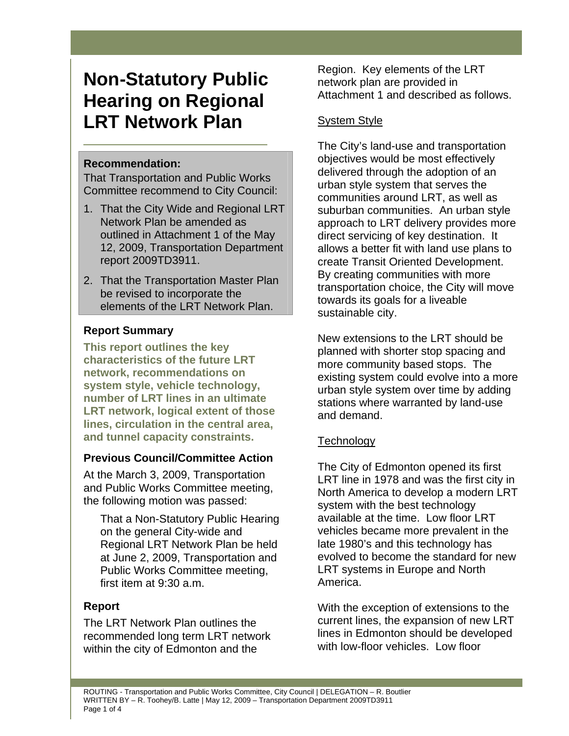# **Non-Statutory Public Hearing on Regional LRT Network Plan**

# **Recommendation:**

That Transportation and Public Works Committee recommend to City Council:

- 1. That the City Wide and Regional LRT Network Plan be amended as outlined in Attachment 1 of the May 12, 2009, Transportation Department report 2009TD3911.
- 2. That the Transportation Master Plan be revised to incorporate the elements of the LRT Network Plan.

# **Report Summary**

**This report outlines the key characteristics of the future LRT network, recommendations on system style, vehicle technology, number of LRT lines in an ultimate LRT network, logical extent of those lines, circulation in the central area, and tunnel capacity constraints.** 

# **Previous Council/Committee Action**

At the March 3, 2009, Transportation and Public Works Committee meeting, the following motion was passed:

That a Non-Statutory Public Hearing on the general City-wide and Regional LRT Network Plan be held at June 2, 2009, Transportation and Public Works Committee meeting, first item at 9:30 a.m.

# **Report**

The LRT Network Plan outlines the recommended long term LRT network within the city of Edmonton and the

Region. Key elements of the LRT network plan are provided in Attachment 1 and described as follows.

# **System Style**

The City's land-use and transportation objectives would be most effectively delivered through the adoption of an urban style system that serves the communities around LRT, as well as suburban communities. An urban style approach to LRT delivery provides more direct servicing of key destination. It allows a better fit with land use plans to create Transit Oriented Development. By creating communities with more transportation choice, the City will move towards its goals for a liveable sustainable city.

New extensions to the LRT should be planned with shorter stop spacing and more community based stops. The existing system could evolve into a more urban style system over time by adding stations where warranted by land-use and demand.

# **Technology**

The City of Edmonton opened its first LRT line in 1978 and was the first city in North America to develop a modern LRT system with the best technology available at the time. Low floor LRT vehicles became more prevalent in the late 1980's and this technology has evolved to become the standard for new LRT systems in Europe and North America.

With the exception of extensions to the current lines, the expansion of new LRT lines in Edmonton should be developed with low-floor vehicles. Low floor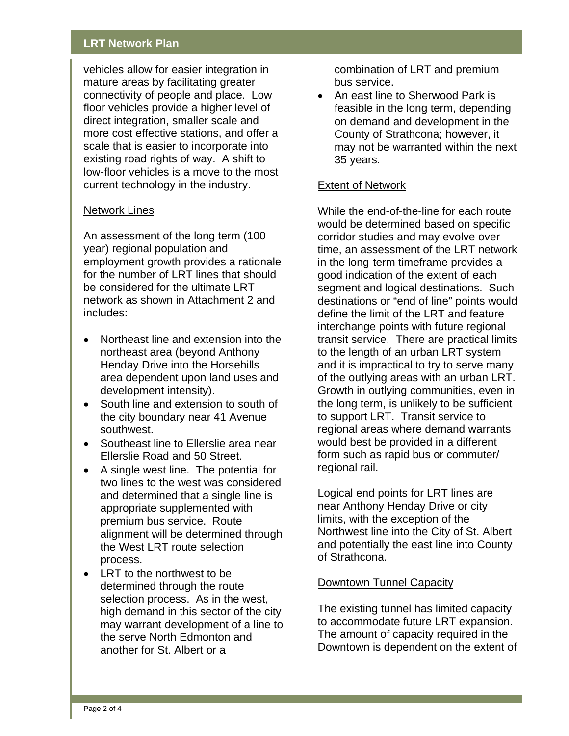## **LRT Network Plan**

vehicles allow for easier integration in mature areas by facilitating greater connectivity of people and place. Low floor vehicles provide a higher level of direct integration, smaller scale and more cost effective stations, and offer a scale that is easier to incorporate into existing road rights of way. A shift to low-floor vehicles is a move to the most current technology in the industry.

### Network Lines

An assessment of the long term (100 year) regional population and employment growth provides a rationale for the number of LRT lines that should be considered for the ultimate LRT network as shown in Attachment 2 and includes:

- Northeast line and extension into the northeast area (beyond Anthony Henday Drive into the Horsehills area dependent upon land uses and development intensity).
- South line and extension to south of the city boundary near 41 Avenue southwest.
- Southeast line to Ellerslie area near Ellerslie Road and 50 Street.
- A single west line. The potential for two lines to the west was considered and determined that a single line is appropriate supplemented with premium bus service. Route alignment will be determined through the West LRT route selection process.
- LRT to the northwest to be determined through the route selection process. As in the west, high demand in this sector of the city may warrant development of a line to the serve North Edmonton and another for St. Albert or a

combination of LRT and premium bus service.

• An east line to Sherwood Park is feasible in the long term, depending on demand and development in the County of Strathcona; however, it may not be warranted within the next 35 years.

#### Extent of Network

While the end-of-the-line for each route would be determined based on specific corridor studies and may evolve over time, an assessment of the LRT network in the long-term timeframe provides a good indication of the extent of each segment and logical destinations. Such destinations or "end of line" points would define the limit of the LRT and feature interchange points with future regional transit service. There are practical limits to the length of an urban LRT system and it is impractical to try to serve many of the outlying areas with an urban LRT. Growth in outlying communities, even in the long term, is unlikely to be sufficient to support LRT. Transit service to regional areas where demand warrants would best be provided in a different form such as rapid bus or commuter/ regional rail.

Logical end points for LRT lines are near Anthony Henday Drive or city limits, with the exception of the Northwest line into the City of St. Albert and potentially the east line into County of Strathcona.

#### Downtown Tunnel Capacity

The existing tunnel has limited capacity to accommodate future LRT expansion. The amount of capacity required in the Downtown is dependent on the extent of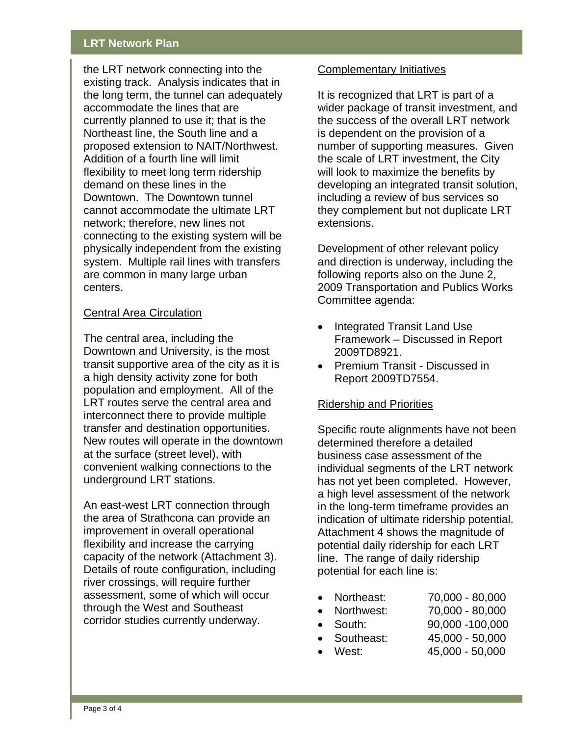## **LRT Network Plan**

the LRT network connecting into the existing track. Analysis indicates that in the long term, the tunnel can adequately accommodate the lines that are currently planned to use it; that is the Northeast line, the South line and a proposed extension to NAIT/Northwest. Addition of a fourth line will limit flexibility to meet long term ridership demand on these lines in the Downtown. The Downtown tunnel cannot accommodate the ultimate LRT network; therefore, new lines not connecting to the existing system will be physically independent from the existing system. Multiple rail lines with transfers are common in many large urban centers.

### Central Area Circulation

The central area, including the Downtown and University, is the most transit supportive area of the city as it is a high density activity zone for both population and employment. All of the LRT routes serve the central area and interconnect there to provide multiple transfer and destination opportunities. New routes will operate in the downtown at the surface (street level), with convenient walking connections to the underground LRT stations.

An east-west LRT connection through the area of Strathcona can provide an improvement in overall operational flexibility and increase the carrying capacity of the network (Attachment 3). Details of route configuration, including river crossings, will require further assessment, some of which will occur through the West and Southeast corridor studies currently underway.

#### Complementary Initiatives

It is recognized that LRT is part of a wider package of transit investment, and the success of the overall LRT network is dependent on the provision of a number of supporting measures. Given the scale of LRT investment, the City will look to maximize the benefits by developing an integrated transit solution, including a review of bus services so they complement but not duplicate LRT extensions.

Development of other relevant policy and direction is underway, including the following reports also on the June 2, 2009 Transportation and Publics Works Committee agenda:

- Integrated Transit Land Use Framework – Discussed in Report 2009TD8921.
- Premium Transit Discussed in Report 2009TD7554.

## Ridership and Priorities

Specific route alignments have not been determined therefore a detailed business case assessment of the individual segments of the LRT network has not yet been completed. However, a high level assessment of the network in the long-term timeframe provides an indication of ultimate ridership potential. Attachment 4 shows the magnitude of potential daily ridership for each LRT line. The range of daily ridership potential for each line is:

- Northeast: 70,000 80,000
- Northwest: 70,000 80,000
- South: 90,000 -100,000
- Southeast: 45,000 50,000
- West: 45,000 50,000